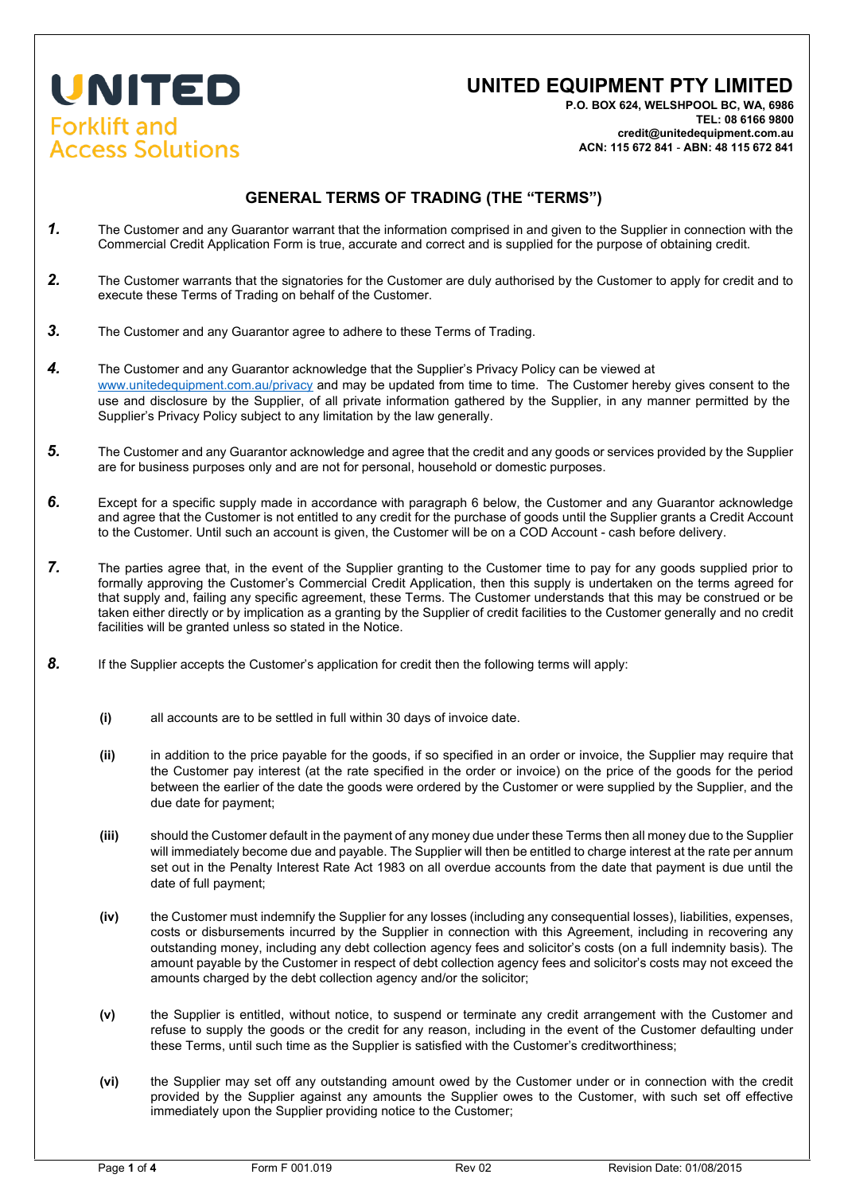## UNITED **Forklift and Access Solutions**

## **UNITED EQUIPMENT PTY LIMITED**

**P.O. BOX 624, WELSHPOOL BC, WA, 6986 TEL: 08 6166 9800 credit@unitedequipment.com.au ACN: 115 672 841** - **ABN: 48 115 672 841** 

## **GENERAL TERMS OF TRADING (THE "TERMS")**

- *1.* The Customer and any Guarantor warrant that the information comprised in and given to the Supplier in connection with the Commercial Credit Application Form is true, accurate and correct and is supplied for the purpose of obtaining credit.
- *2.* The Customer warrants that the signatories for the Customer are duly authorised by the Customer to apply for credit and to execute these Terms of Trading on behalf of the Customer.
- *3.* The Customer and any Guarantor agree to adhere to these Terms of Trading.
- *4.* The Customer and any Guarantor acknowledge that the Supplier's Privacy Policy can be viewed at [www.unitedequipment.com.au/privacy](http://www.unitedequipment.com.au/privacy) [a](http://www.unitedequipment.com.au/privacy)nd may be updated from time to time. The Customer hereby gives consent to the use and disclosure by the Supplier, of all private information gathered by the Supplier, in any manner permitted by the Supplier's Privacy Policy subject to any limitation by the law generally.
- *5.* The Customer and any Guarantor acknowledge and agree that the credit and any goods or services provided by the Supplier are for business purposes only and are not for personal, household or domestic purposes.
- *6.* Except for a specific supply made in accordance with paragraph 6 below, the Customer and any Guarantor acknowledge and agree that the Customer is not entitled to any credit for the purchase of goods until the Supplier grants a Credit Account to the Customer. Until such an account is given, the Customer will be on a COD Account - cash before delivery.
- *7.* The parties agree that, in the event of the Supplier granting to the Customer time to pay for any goods supplied prior to formally approving the Customer's Commercial Credit Application, then this supply is undertaken on the terms agreed for that supply and, failing any specific agreement, these Terms. The Customer understands that this may be construed or be taken either directly or by implication as a granting by the Supplier of credit facilities to the Customer generally and no credit facilities will be granted unless so stated in the Notice.
- **8.** If the Supplier accepts the Customer's application for credit then the following terms will apply:
	- **(i)** all accounts are to be settled in full within 30 days of invoice date.
	- **(ii)** in addition to the price payable for the goods, if so specified in an order or invoice, the Supplier may require that the Customer pay interest (at the rate specified in the order or invoice) on the price of the goods for the period between the earlier of the date the goods were ordered by the Customer or were supplied by the Supplier, and the due date for payment;
	- **(iii)** should the Customer default in the payment of any money due under these Terms then all money due to the Supplier will immediately become due and payable. The Supplier will then be entitled to charge interest at the rate per annum set out in the Penalty Interest Rate Act 1983 on all overdue accounts from the date that payment is due until the date of full payment;
	- **(iv)** the Customer must indemnify the Supplier for any losses (including any consequential losses), liabilities, expenses, costs or disbursements incurred by the Supplier in connection with this Agreement, including in recovering any outstanding money, including any debt collection agency fees and solicitor's costs (on a full indemnity basis). The amount payable by the Customer in respect of debt collection agency fees and solicitor's costs may not exceed the amounts charged by the debt collection agency and/or the solicitor;
	- **(v)** the Supplier is entitled, without notice, to suspend or terminate any credit arrangement with the Customer and refuse to supply the goods or the credit for any reason, including in the event of the Customer defaulting under these Terms, until such time as the Supplier is satisfied with the Customer's creditworthiness;
	- **(vi)** the Supplier may set off any outstanding amount owed by the Customer under or in connection with the credit provided by the Supplier against any amounts the Supplier owes to the Customer, with such set off effective immediately upon the Supplier providing notice to the Customer;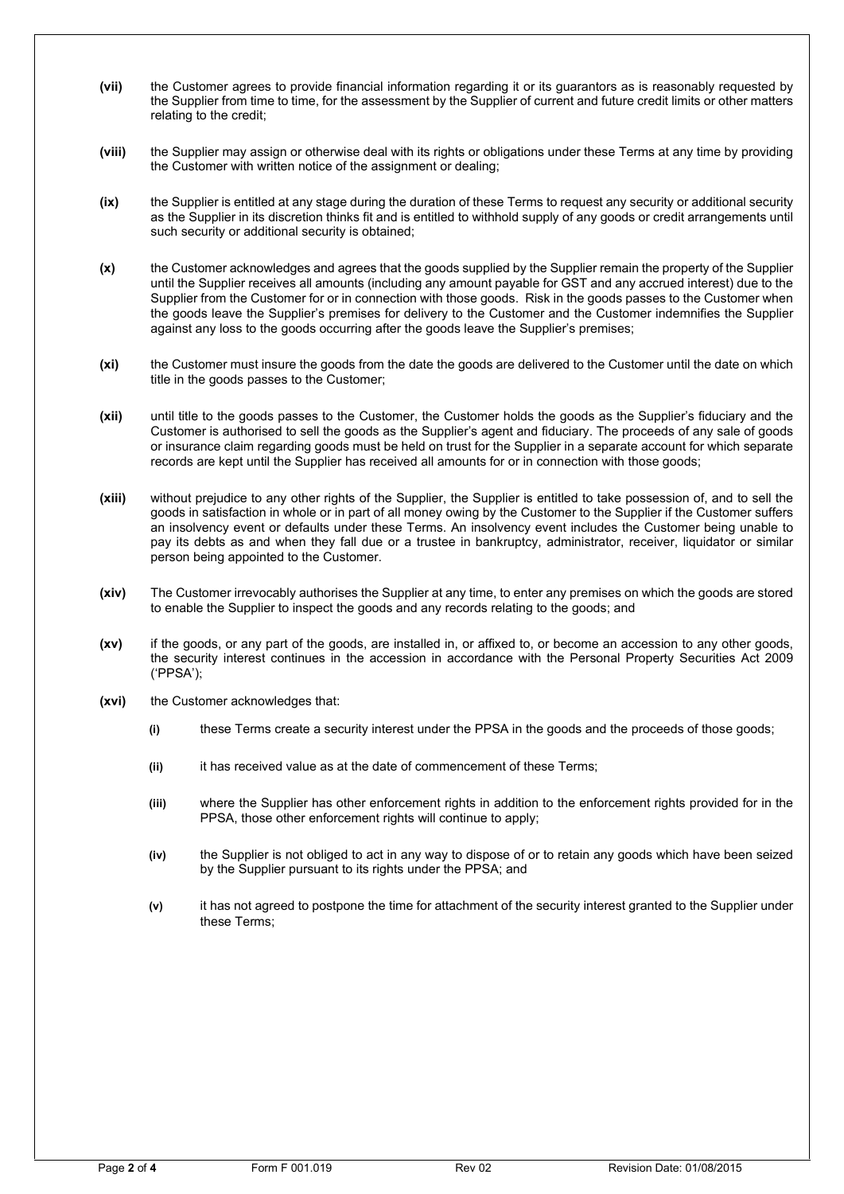- **(vii)** the Customer agrees to provide financial information regarding it or its guarantors as is reasonably requested by the Supplier from time to time, for the assessment by the Supplier of current and future credit limits or other matters relating to the credit;
- **(viii)** the Supplier may assign or otherwise deal with its rights or obligations under these Terms at any time by providing the Customer with written notice of the assignment or dealing;
- **(ix)** the Supplier is entitled at any stage during the duration of these Terms to request any security or additional security as the Supplier in its discretion thinks fit and is entitled to withhold supply of any goods or credit arrangements until such security or additional security is obtained;
- **(x)** the Customer acknowledges and agrees that the goods supplied by the Supplier remain the property of the Supplier until the Supplier receives all amounts (including any amount payable for GST and any accrued interest) due to the Supplier from the Customer for or in connection with those goods. Risk in the goods passes to the Customer when the goods leave the Supplier's premises for delivery to the Customer and the Customer indemnifies the Supplier against any loss to the goods occurring after the goods leave the Supplier's premises;
- **(xi)** the Customer must insure the goods from the date the goods are delivered to the Customer until the date on which title in the goods passes to the Customer;
- **(xii)** until title to the goods passes to the Customer, the Customer holds the goods as the Supplier's fiduciary and the Customer is authorised to sell the goods as the Supplier's agent and fiduciary. The proceeds of any sale of goods or insurance claim regarding goods must be held on trust for the Supplier in a separate account for which separate records are kept until the Supplier has received all amounts for or in connection with those goods;
- **(xiii)** without prejudice to any other rights of the Supplier, the Supplier is entitled to take possession of, and to sell the goods in satisfaction in whole or in part of all money owing by the Customer to the Supplier if the Customer suffers an insolvency event or defaults under these Terms. An insolvency event includes the Customer being unable to pay its debts as and when they fall due or a trustee in bankruptcy, administrator, receiver, liquidator or similar person being appointed to the Customer.
- **(xiv)** The Customer irrevocably authorises the Supplier at any time, to enter any premises on which the goods are stored to enable the Supplier to inspect the goods and any records relating to the goods; and
- **(xv)** if the goods, or any part of the goods, are installed in, or affixed to, or become an accession to any other goods, the security interest continues in the accession in accordance with the Personal Property Securities Act 2009 ('PPSA');
- **(xvi)** the Customer acknowledges that:
	- **(i)** these Terms create a security interest under the PPSA in the goods and the proceeds of those goods;
	- **(ii)** it has received value as at the date of commencement of these Terms;
	- **(iii)** where the Supplier has other enforcement rights in addition to the enforcement rights provided for in the PPSA, those other enforcement rights will continue to apply;
	- **(iv)** the Supplier is not obliged to act in any way to dispose of or to retain any goods which have been seized by the Supplier pursuant to its rights under the PPSA; and
	- **(v)** it has not agreed to postpone the time for attachment of the security interest granted to the Supplier under these Terms;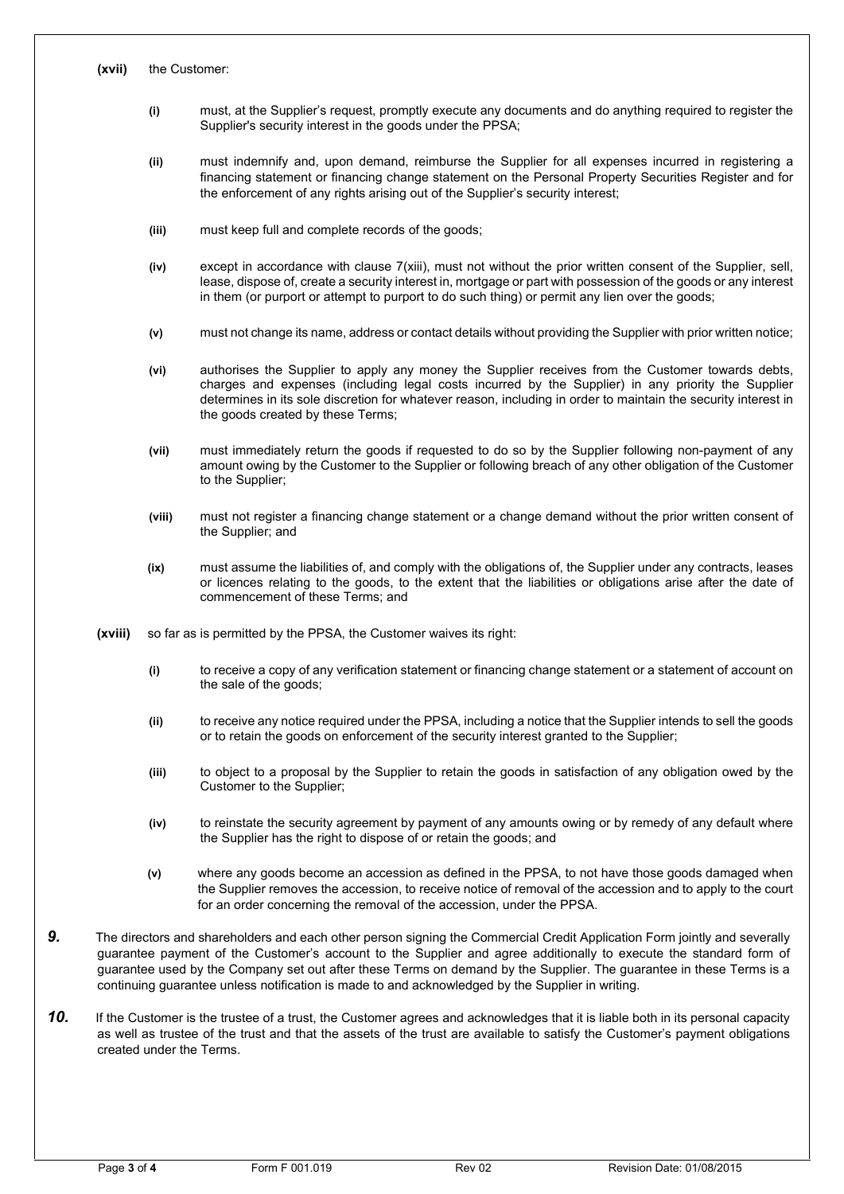- **(i)** must, at the Supplier's request, promptly execute any documents and do anything required to register the Supplier's security interest in the goods under the PPSA;
- **(ii)** must indemnify and, upon demand, reimburse the Supplier for all expenses incurred in registering a financing statement or financing change statement on the Personal Property Securities Register and for the enforcement of any rights arising out of the Supplier's security interest;
- **(iii)** must keep full and complete records of the goods;
- **(iv)** except in accordance with clause 7(xiii), must not without the prior written consent of the Supplier, sell, lease, dispose of, create a security interest in, mortgage or part with possession of the goods or any interest in them (or purport or attempt to purport to do such thing) or permit any lien over the goods;
- **(v)** must not change its name, address or contact details without providing the Supplier with prior written notice;
- **(vi)** authorises the Supplier to apply any money the Supplier receives from the Customer towards debts, charges and expenses (including legal costs incurred by the Supplier) in any priority the Supplier determines in its sole discretion for whatever reason, including in order to maintain the security interest in the goods created by these Terms;
- **(vii)** must immediately return the goods if requested to do so by the Supplier following non-payment of any amount owing by the Customer to the Supplier or following breach of any other obligation of the Customer to the Supplier;
- **(viii)** must not register a financing change statement or a change demand without the prior written consent of the Supplier; and
- **(ix)** must assume the liabilities of, and comply with the obligations of, the Supplier under any contracts, leases or licences relating to the goods, to the extent that the liabilities or obligations arise after the date of commencement of these Terms; and
- **(xviii)** so far as is permitted by the PPSA, the Customer waives its right:
	- **(i)** to receive a copy of any verification statement or financing change statement or a statement of account on the sale of the goods;
	- **(ii)** to receive any notice required under the PPSA, including a notice that the Supplier intends to sell the goods or to retain the goods on enforcement of the security interest granted to the Supplier;
	- **(iii)** to object to a proposal by the Supplier to retain the goods in satisfaction of any obligation owed by the Customer to the Supplier;
	- **(iv)** to reinstate the security agreement by payment of any amounts owing or by remedy of any default where the Supplier has the right to dispose of or retain the goods; and
	- **(v)** where any goods become an accession as defined in the PPSA, to not have those goods damaged when the Supplier removes the accession, to receive notice of removal of the accession and to apply to the court for an order concerning the removal of the accession, under the PPSA.
- *9.* The directors and shareholders and each other person signing the Commercial Credit Application Form jointly and severally guarantee payment of the Customer's account to the Supplier and agree additionally to execute the standard form of guarantee used by the Company set out after these Terms on demand by the Supplier. The guarantee in these Terms is a continuing guarantee unless notification is made to and acknowledged by the Supplier in writing.
- 10. If the Customer is the trustee of a trust, the Customer agrees and acknowledges that it is liable both in its personal capacity as well as trustee of the trust and that the assets of the trust are available to satisfy the Customer's payment obligations created under the Terms.